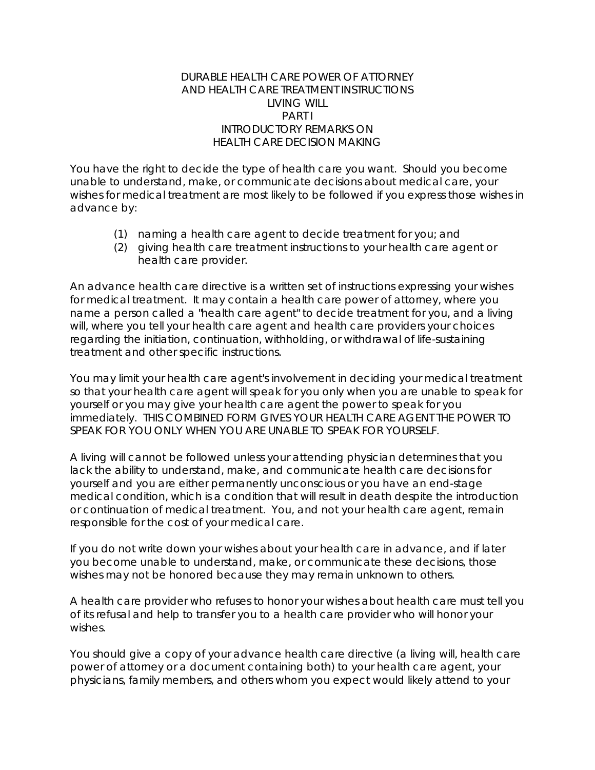### DURABLE HEALTH CARE POWER OF ATTORNEY AND HEALTH CARE TREATMENT INSTRUCTIONS LIVING WILL PART I INTRODUCTORY REMARKS ON HEALTH CARE DECISION MAKING

You have the right to decide the type of health care you want. Should you become unable to understand, make, or communicate decisions about medical care, your wishes for medical treatment are most likely to be followed if you express those wishes in advance by:

- (1) naming a health care agent to decide treatment for you; and
- (2) giving health care treatment instructions to your health care agent or health care provider.

An advance health care directive is a written set of instructions expressing your wishes for medical treatment. It may contain a health care power of attorney, where you name a person called a "health care agent" to decide treatment for you, and a living will, where you tell your health care agent and health care providers your choices regarding the initiation, continuation, withholding, or withdrawal of life-sustaining treatment and other specific instructions.

You may limit your health care agent's involvement in deciding your medical treatment so that your health care agent will speak for you only when you are unable to speak for yourself or you may give your health care agent the power to speak for you immediately. THIS COMBINED FORM GIVES YOUR HEALTH CARE AGENT THE POWER TO SPEAK FOR YOU ONLY WHEN YOU ARE UNABLE TO SPEAK FOR YOURSELF.

A living will cannot be followed unless your attending physician determines that you lack the ability to understand, make, and communicate health care decisions for yourself and you are either permanently unconscious or you have an end-stage medical condition, which is a condition that will result in death despite the introduction or continuation of medical treatment. You, and not your health care agent, remain responsible for the cost of your medical care.

If you do not write down your wishes about your health care in advance, and if later you become unable to understand, make, or communicate these decisions, those wishes may not be honored because they may remain unknown to others.

A health care provider who refuses to honor your wishes about health care must tell you of its refusal and help to transfer you to a health care provider who will honor your wishes.

You should give a copy of your advance health care directive (a living will, health care power of attorney or a document containing both) to your health care agent, your physicians, family members, and others whom you expect would likely attend to your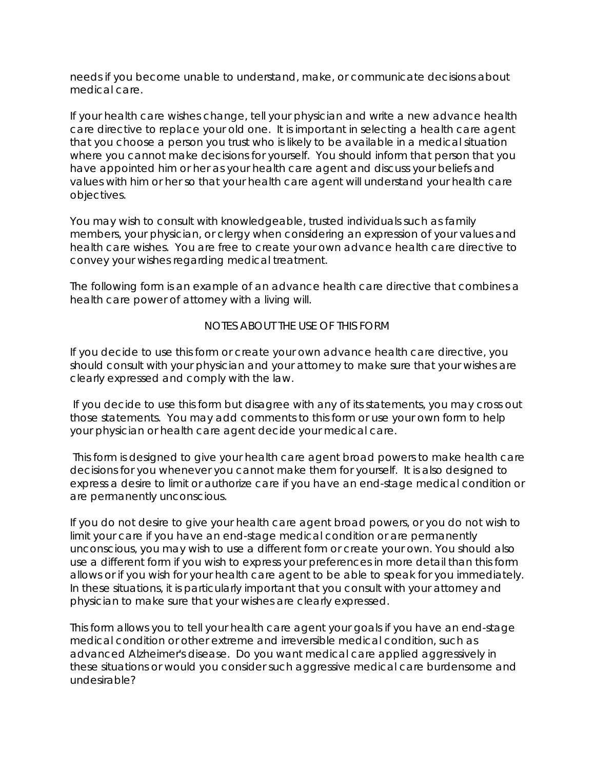needs if you become unable to understand, make, or communicate decisions about medical care.

If your health care wishes change, tell your physician and write a new advance health care directive to replace your old one. It is important in selecting a health care agent that you choose a person you trust who is likely to be available in a medical situation where you cannot make decisions for yourself. You should inform that person that you have appointed him or her as your health care agent and discuss your beliefs and values with him or her so that your health care agent will understand your health care objectives.

You may wish to consult with knowledgeable, trusted individuals such as family members, your physician, or clergy when considering an expression of your values and health care wishes. You are free to create your own advance health care directive to convey your wishes regarding medical treatment.

The following form is an example of an advance health care directive that combines a health care power of attorney with a living will.

NOTES ABOUT THE USE OF THIS FORM

If you decide to use this form or create your own advance health care directive, you should consult with your physician and your attorney to make sure that your wishes are clearly expressed and comply with the law.

 If you decide to use this form but disagree with any of its statements, you may cross out those statements. You may add comments to this form or use your own form to help your physician or health care agent decide your medical care.

 This form is designed to give your health care agent broad powers to make health care decisions for you whenever you cannot make them for yourself. It is also designed to express a desire to limit or authorize care if you have an end-stage medical condition or are permanently unconscious.

If you do not desire to give your health care agent broad powers, or you do not wish to limit your care if you have an end-stage medical condition or are permanently unconscious, you may wish to use a different form or create your own. You should also use a different form if you wish to express your preferences in more detail than this form allows or if you wish for your health care agent to be able to speak for you immediately. In these situations, it is particularly important that you consult with your attorney and physician to make sure that your wishes are clearly expressed.

This form allows you to tell your health care agent your goals if you have an end-stage medical condition or other extreme and irreversible medical condition, such as advanced Alzheimer's disease. Do you want medical care applied aggressively in these situations or would you consider such aggressive medical care burdensome and undesirable?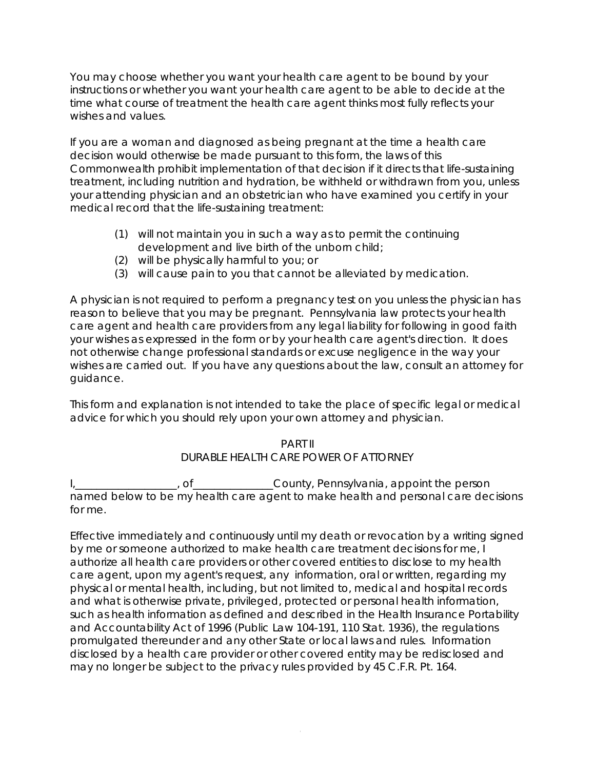You may choose whether you want your health care agent to be bound by your instructions or whether you want your health care agent to be able to decide at the time what course of treatment the health care agent thinks most fully reflects your wishes and values.

If you are a woman and diagnosed as being pregnant at the time a health care decision would otherwise be made pursuant to this form, the laws of this Commonwealth prohibit implementation of that decision if it directs that life-sustaining treatment, including nutrition and hydration, be withheld or withdrawn from you, unless your attending physician and an obstetrician who have examined you certify in your medical record that the life-sustaining treatment:

- (1) will not maintain you in such a way as to permit the continuing development and live birth of the unborn child;
- (2) will be physically harmful to you; or
- (3) will cause pain to you that cannot be alleviated by medication.

A physician is not required to perform a pregnancy test on you unless the physician has reason to believe that you may be pregnant. Pennsylvania law protects your health care agent and health care providers from any legal liability for following in good faith your wishes as expressed in the form or by your health care agent's direction. It does not otherwise change professional standards or excuse negligence in the way your wishes are carried out. If you have any questions about the law, consult an attorney for guidance.

This form and explanation is not intended to take the place of specific legal or medical advice for which you should rely upon your own attorney and physician.

> PART II DURABLE HEALTH CARE POWER OF ATTORNEY

I, \_\_\_\_\_\_\_\_\_\_, of \_\_\_\_\_\_\_\_\_\_\_\_\_\_\_County, Pennsylvania, appoint the person named below to be my health care agent to make health and personal care decisions for me.

Effective immediately and continuously until my death or revocation by a writing signed by me or someone authorized to make health care treatment decisions for me, I authorize all health care providers or other covered entities to disclose to my health care agent, upon my agent's request, any information, oral or written, regarding my physical or mental health, including, but not limited to, medical and hospital records and what is otherwise private, privileged, protected or personal health information, such as health information as defined and described in the Health Insurance Portability and Accountability Act of 1996 (Public Law 104-191, 110 Stat. 1936), the regulations promulgated thereunder and any other State or local laws and rules. Information disclosed by a health care provider or other covered entity may be redisclosed and may no longer be subject to the privacy rules provided by 45 C.F.R. Pt. 164.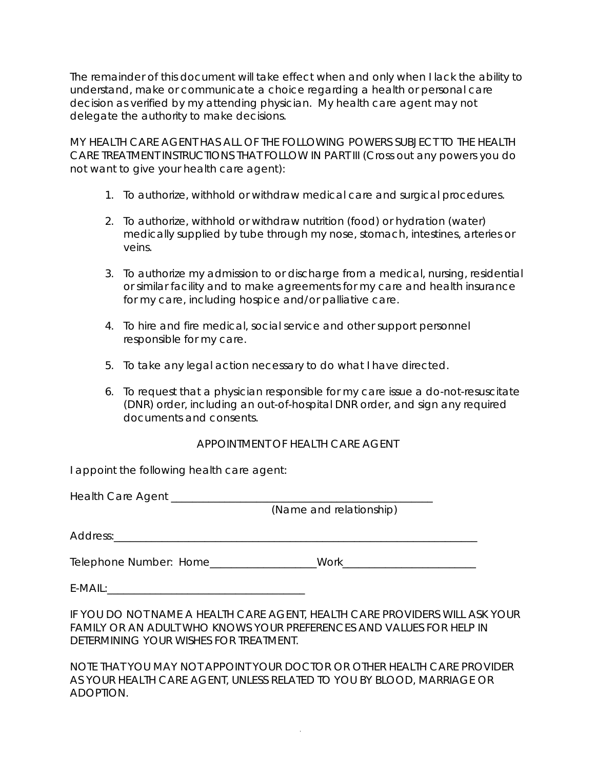The remainder of this document will take effect when and only when I lack the ability to understand, make or communicate a choice regarding a health or personal care decision as verified by my attending physician. My health care agent may not delegate the authority to make decisions.

MY HEALTH CARE AGENT HAS ALL OF THE FOLLOWING POWERS SUBJECT TO THE HEALTH CARE TREATMENT INSTRUCTIONS THAT FOLLOW IN PART III (Cross out any powers you do not want to give your health care agent):

- 1. To authorize, withhold or withdraw medical care and surgical procedures.
- 2. To authorize, withhold or withdraw nutrition (food) or hydration (water) medically supplied by tube through my nose, stomach, intestines, arteries or veins.
- 3. To authorize my admission to or discharge from a medical, nursing, residential or similar facility and to make agreements for my care and health insurance for my care, including hospice and/or palliative care.
- 4. To hire and fire medical, social service and other support personnel responsible for my care.
- 5. To take any legal action necessary to do what I have directed.
- 6. To request that a physician responsible for my care issue a do-not-resuscitate (DNR) order, including an out-of-hospital DNR order, and sign any required documents and consents.

## APPOINTMENT OF HEALTH CARE AGENT

I appoint the following health care agent:

| Health Care Agent                  |                         |
|------------------------------------|-------------------------|
|                                    | (Name and relationship) |
| Address:                           |                         |
| $T_{\Omega}$ lanbana Numbaru Llama | $M$ orl $\epsilon$      |

Telephone Number: Home\_\_\_\_\_\_\_\_\_\_\_\_\_\_\_\_\_\_\_\_Work\_\_\_\_\_\_\_\_\_\_\_\_\_\_\_\_\_\_\_\_\_\_\_\_\_

 $E\text{-}{\sf MAll}:$ 

IF YOU DO NOT NAME A HEALTH CARE AGENT, HEALTH CARE PROVIDERS WILL ASK YOUR FAMILY OR AN ADULT WHO KNOWS YOUR PREFERENCES AND VALUES FOR HELP IN DETERMINING YOUR WISHES FOR TREATMENT.

NOTE THAT YOU MAY NOT APPOINT YOUR DOCTOR OR OTHER HEALTH CARE PROVIDER AS YOUR HEALTH CARE AGENT, UNLESS RELATED TO YOU BY BLOOD, MARRIAGE OR ADOPTION.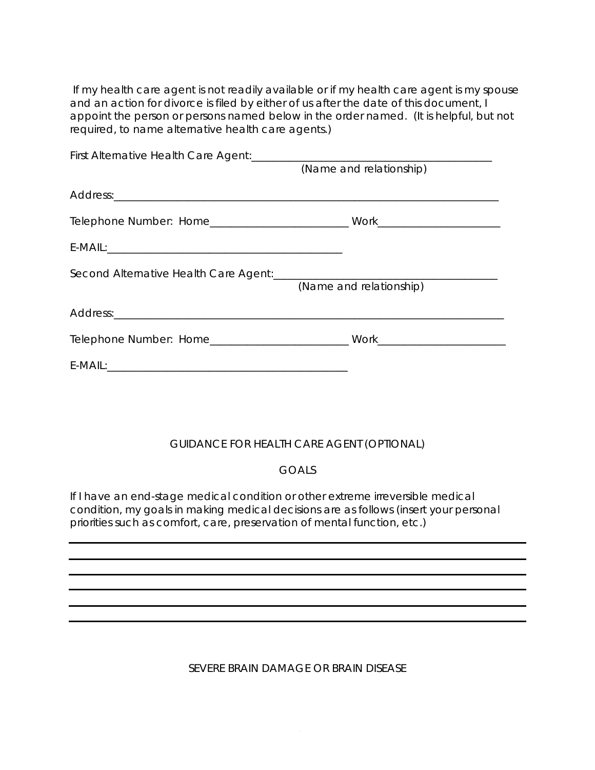If my health care agent is not readily available or if my health care agent is my spouse and an action for divorce is filed by either of us after the date of this document, I appoint the person or persons named below in the order named. (It is helpful, but not required, to name alternative health care agents.)

| (Name and relationship) |  |
|-------------------------|--|
|                         |  |
|                         |  |
|                         |  |
| (Name and relationship) |  |
|                         |  |
|                         |  |
|                         |  |
|                         |  |

## GUIDANCE FOR HEALTH CARE AGENT (OPTIONAL)

## GOALS

If I have an end-stage medical condition or other extreme irreversible medical condition, my goals in making medical decisions are as follows (insert your personal priorities such as comfort, care, preservation of mental function, etc.)

SEVERE BRAIN DAMAGE OR BRAIN DISEASE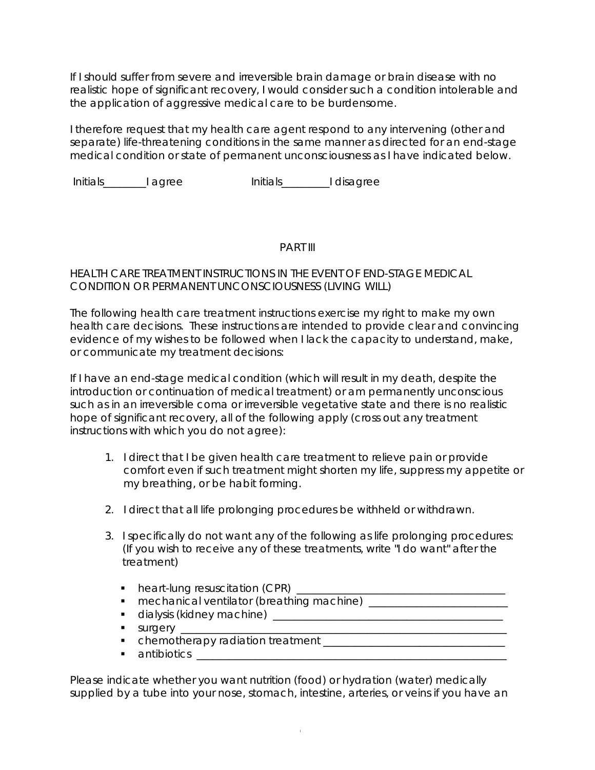If I should suffer from severe and irreversible brain damage or brain disease with no realistic hope of significant recovery, I would consider such a condition intolerable and the application of aggressive medical care to be burdensome.

I therefore request that my health care agent respond to any intervening (other and separate) life-threatening conditions in the same manner as directed for an end-stage medical condition or state of permanent unconsciousness as I have indicated below.

Initials\_\_\_\_\_\_\_\_I agree Initials\_\_\_\_\_\_\_\_\_I disagree

#### PART III

### HEALTH CARE TREATMENT INSTRUCTIONS IN THE EVENT OF END-STAGE MEDICAL CONDITION OR PERMANENT UNCONSCIOUSNESS (LIVING WILL)

The following health care treatment instructions exercise my right to make my own health care decisions. These instructions are intended to provide clear and convincing evidence of my wishes to be followed when I lack the capacity to understand, make, or communicate my treatment decisions:

If I have an end-stage medical condition (which will result in my death, despite the introduction or continuation of medical treatment) or am permanently unconscious such as in an irreversible coma or irreversible vegetative state and there is no realistic hope of significant recovery, all of the following apply (cross out any treatment instructions with which you do not agree):

- 1. I direct that I be given health care treatment to relieve pain or provide comfort even if such treatment might shorten my life, suppress my appetite or my breathing, or be habit forming.
- 2. I direct that all life prolonging procedures be withheld or withdrawn.
- 3. I specifically do not want any of the following as life prolonging procedures: (If you wish to receive any of these treatments, write "I do want" after the treatment)
	- heart-lung resuscitation (CPR) \_\_\_\_\_\_\_\_\_\_\_\_\_\_\_\_\_\_\_\_\_\_\_\_\_\_\_\_\_\_\_\_\_\_\_\_\_\_\_
	- mechanical ventilator (breathing machine) \_\_\_\_\_\_\_\_\_\_\_\_\_\_\_\_\_\_\_\_\_\_\_\_\_\_
	- dialysis (kidney machine) \_\_\_\_\_\_\_\_\_\_\_\_\_\_\_\_\_\_\_\_\_\_\_\_\_\_\_\_\_\_\_\_\_\_\_\_\_\_\_\_\_\_\_
	- surgery \_\_\_\_\_\_\_\_\_\_\_\_\_\_\_\_\_\_\_\_\_\_\_\_\_\_\_\_\_\_\_\_\_\_\_\_\_\_\_\_\_\_\_\_\_\_\_\_\_\_\_\_\_\_\_\_\_\_\_\_\_
	- chemotherapy radiation treatment \_\_\_\_\_\_\_\_\_\_\_\_\_\_\_\_\_\_\_\_\_\_\_\_\_\_\_\_\_\_\_\_\_\_
	- antibiotics \_\_\_\_\_\_\_\_\_\_\_\_\_\_\_\_\_\_\_\_\_\_\_\_\_\_\_\_\_\_\_\_\_\_\_\_\_\_\_\_\_\_\_\_\_\_\_\_\_\_\_\_\_\_\_\_\_\_

Please indicate whether you want nutrition (food) or hydration (water) medically supplied by a tube into your nose, stomach, intestine, arteries, or veins if you have an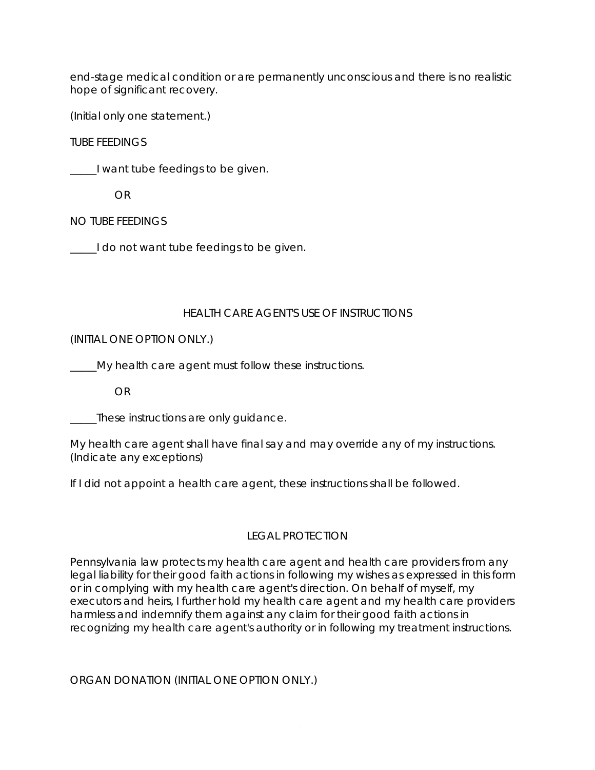end-stage medical condition or are permanently unconscious and there is no realistic hope of significant recovery.

(Initial only one statement.)

TUBE FEEDINGS

\_\_\_\_\_I want tube feedings to be given.

OR

NO TUBE FEEDINGS

I do not want tube feedings to be given.

## HEALTH CARE AGENT'S USE OF INSTRUCTIONS

(INITIAL ONE OPTION ONLY.)

\_\_\_\_\_My health care agent must follow these instructions.

OR

These instructions are only guidance.

My health care agent shall have final say and may override any of my instructions. (Indicate any exceptions)

If I did not appoint a health care agent, these instructions shall be followed.

# LEGAL PROTECTION

Pennsylvania law protects my health care agent and health care providers from any legal liability for their good faith actions in following my wishes as expressed in this form or in complying with my health care agent's direction. On behalf of myself, my executors and heirs, I further hold my health care agent and my health care providers harmless and indemnify them against any claim for their good faith actions in recognizing my health care agent's authority or in following my treatment instructions.

ORGAN DONATION (INITIAL ONE OPTION ONLY.)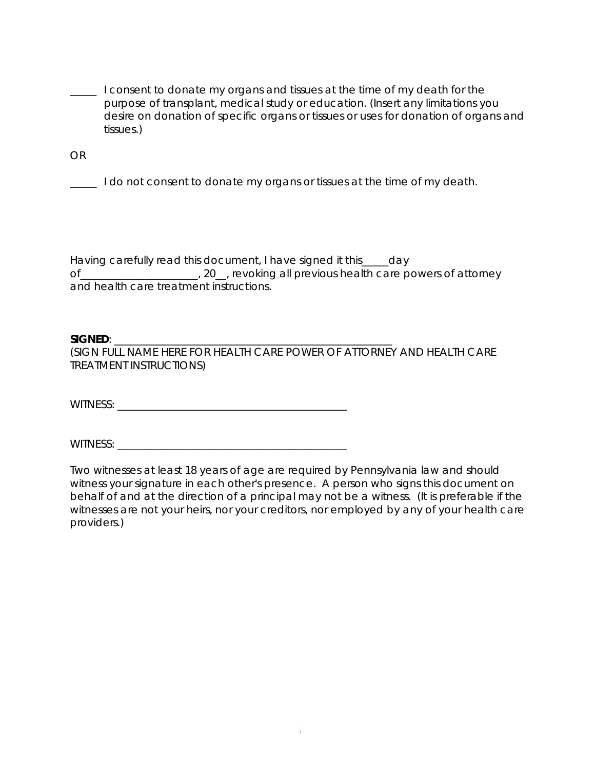**I consent to donate my organs and tissues at the time of my death for the** purpose of transplant, medical study or education. (Insert any limitations you desire on donation of specific organs or tissues or uses for donation of organs and tissues.)

OR

\_\_\_\_\_ I do not consent to donate my organs or tissues at the time of my death.

Having carefully read this document, I have signed it this\_\_\_\_\_day of of the case of the contract of the care in the contract of attorney of attorney and health care treatment instructions.

#### $SIGNED:$

(SIGN FULL NAME HERE FOR HEALTH CARE POWER OF ATTORNEY AND HEALTH CARE TREATMENT INSTRUCTIONS)

WITNESS: \_\_\_\_\_\_\_\_\_\_\_\_\_\_\_\_\_\_\_\_\_\_\_\_\_\_\_\_\_\_\_\_\_\_\_\_\_\_\_\_\_\_\_

WITNESS: \_\_\_\_\_\_\_\_\_\_\_\_\_\_\_\_\_\_\_\_\_\_\_\_\_\_\_\_\_\_\_\_\_\_\_\_\_\_\_\_\_\_\_

Two witnesses at least 18 years of age are required by Pennsylvania law and should witness your signature in each other's presence. A person who signs this document on behalf of and at the direction of a principal may not be a witness. (It is preferable if the witnesses are not your heirs, nor your creditors, nor employed by any of your health care providers.)